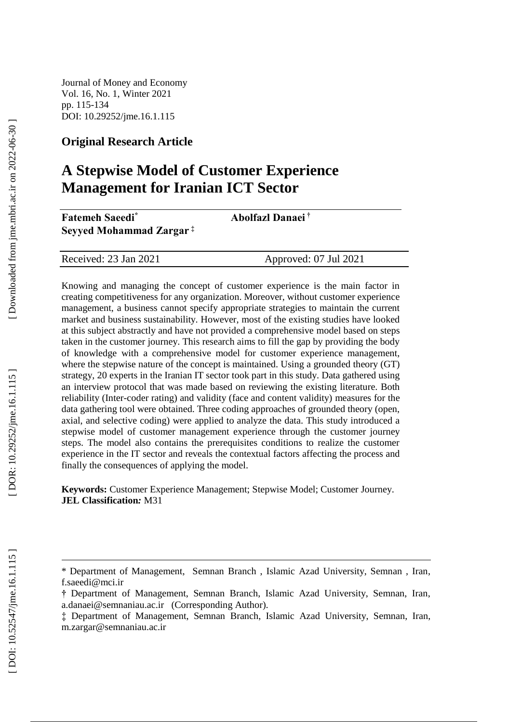Journal of Money and Economy Vol. 16, No. 1, Winter 2021 pp. 115 -134 DOI: 10.29252/jme.16.1.115

#### **Original Research Article**

# **A Stepwise Model of Customer Experience Management for Iranian ICT Sector**

| <b>Fatemeh Saeedi<sup>*</sup></b><br>Seyyed Mohammad Zargar <sup>‡</sup> | Abolfazl Danaei <sup>†</sup> |  |
|--------------------------------------------------------------------------|------------------------------|--|
|                                                                          |                              |  |
| Received: 23 Jan 2021                                                    | Approved: 07 Jul 2021        |  |

Knowing and managing the concept of customer experience is the main factor in creating competitiveness for any organization. Moreover, without customer experience management, a business cannot specify appropriate strategies to maintain the current market and business sustainability. However, most of the existing studies have looked at this subject abstractly and have not provided a comprehensive model based on steps taken in the customer journey. This research aims to fill the gap by providing the body of knowledge with a comprehensive model for customer experience management, where the stepwise nature of the concept is maintained. Using a grounded theory (GT) strategy, 20 experts in the Iranian IT sector took part in this study. Data gathered using an interview protocol that was made based on reviewing the existing literature. Both reliability (Inter -coder rating) and validity (face and content validity) measures for the data gathering tool were obtained. Three coding approaches of grounded theory (open, axial, and selective coding) were applied to analyze the data. This study introduced a stepwise model of customer management experience through the customer journey steps. The model also contains the prerequisites conditions to realize the customer experience in the IT sector and reveals the contextual factors affecting the process and finally the consequences of applying the model.

**Keywords:** Customer Experience Management; Stepwise Model; Customer Journey. **JEL Classification***:* M31

 $\overline{a}$ 

<sup>\*</sup> Department of Management, Semnan Branch , Islamic Azad University, Semnan , Iran, f.saeedi@mci.ir

**<sup>†</sup>** Department of Management, Semnan Branch, Islamic Azad University, Semnan, Iran, a.danaei@semnaniau.ac.ir (Corresponding Author). ‡ Department of Management, Semnan Branch, Islamic Azad University, Semnan, Iran,

m.zargar@semnaniau.ac.ir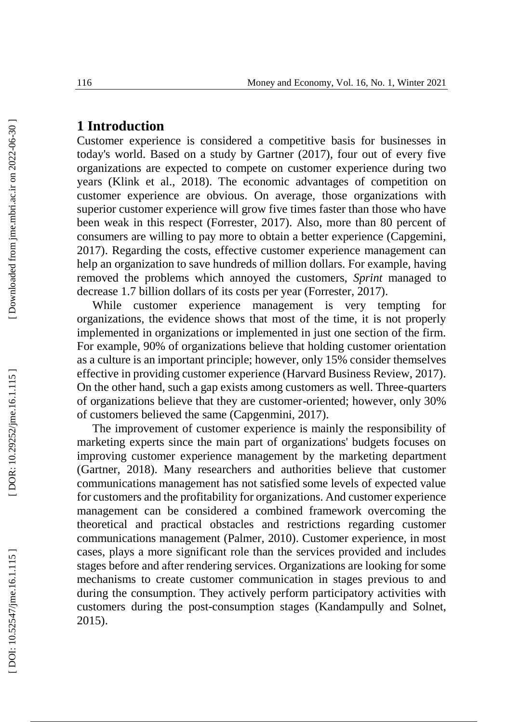## **1 Introduction**

Customer experience is considered a competitive basis for businesses in today's world. Based on a study by Gartner (2017), four out of every five organizations are expected to compete on customer experience during two years (Klink et al., 2018). The economic advantages of competition on customer experience are obvious. On average, those organizations with superior customer experience will grow five times faster than those who have been weak in this respect (Forrester, 2017). Also, more than 80 percent of consumers are willing to pay more to obtain a better experience (Capgemini, 2017). Regarding the costs, effective customer experience management can help an organization to save hundreds of million dollars. For example, having removed the problems which annoyed the customers, *Sprint* managed to decrease 1.7 billion dollars of its costs per year (Forrester, 2017).

While customer experience management is very tempting for organizations, the evidence shows that most of the time, it is not properly implemented in organizations or implemented in just one section of the firm. For example, 90% of organizations believe that holding customer orientation as a culture is an important principle; however, only 15% consider themselves effective in providing customer experience (Harvard Business Review, 2017). On the other hand, such a gap exists among customers as well. Three -quarters of organizations believe that they are customer -oriented; however, only 30% of customers believed the same (Capgenmini, 2017).

The improvement of customer experience is mainly the responsibility of marketing experts since the main part of organizations' budgets focuses on improving customer experience management by the marketing department (Gartner, 2018). Many researchers and authorities believe that customer communications management has not satisfied some levels of expected value for customers and the profitability for organizations. And customer experience management can be considered a combined framework overcoming the theoretical and practical obstacles and restrictions regarding customer communications management (Palmer, 2010). Customer experience, in most cases, plays a more significant role than the services provided and includes stages before and after rendering services. Organizations are looking for some mechanisms to create customer communication in stages previous to and during the consumption. They actively perform participatory activities with customers during the post -consumption stages (Kandampully and Solnet, 2015).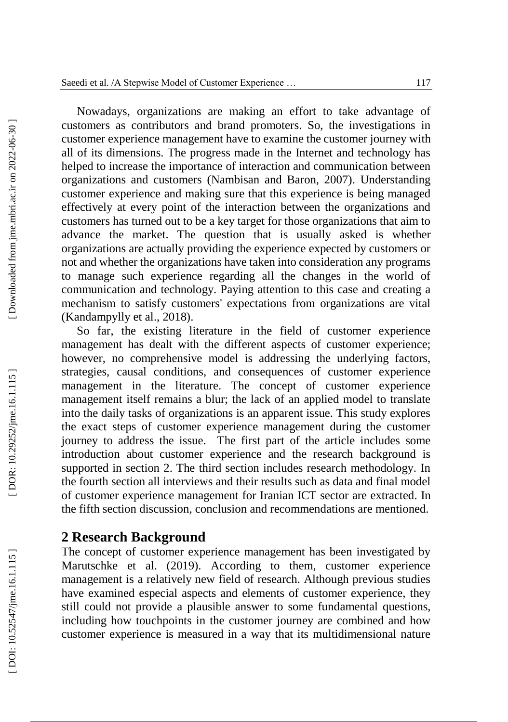Nowadays, organizations are making an effort to take advantage of customers as contributors and brand promoters. So, the investigations in customer experience management have to examine the customer journey with all of its dimensions. The progress made in the Internet and technology has helped to increase the importance of interaction and communication between organizations and customers (Nambisan and Baron, 2007). Understanding customer experience and making sure that this experience is being managed effectively at every point of the interaction between the organizations and customers has turned out to be a key target for those organizations that aim to advance the market. The question that is usually asked is whether organizations are actually providing the experience expected by customers or not and whether the organizations have taken into consideration any programs to manage such experience regarding all the changes in the world of communication and technology. Paying attention to this case and creating a mechanism to satisfy customers' expectations from organizations are vital (Kandampylly et al., 2018).

So far, the existing literature in the field of customer experience management has dealt with the different aspects of customer experience; however, no comprehensive model is addressing the underlying factors, strategies, causal conditions, and consequences of customer experience management in the literature. The concept of customer experience management itself remains a blur; the lack of an applied model to translate into the daily tasks of organizations is an apparent issue. This study explores the exact steps of customer experience management during the customer journey to address the issue. The first part of the article includes some introduction about customer experience and the research background is supported in section 2. The third section includes research methodology. In the fourth section all interviews and their results such as data and final model of customer experience management for Iranian ICT sector are extracted . In the fifth section discussion, conclusion and recommendations are mentioned.

#### **2 Research Background**

The concept of customer experience management has been investigated by Marutschke et al. (2019). According to them, customer experience management is a relatively new field of research. Although previous studies have examined especial aspects and elements of customer experience, they still could not provide a plausible answer to some fundamental questions, including how touchpoints in the customer journey are combined and how customer experience is measured in a way that its multidimensional nature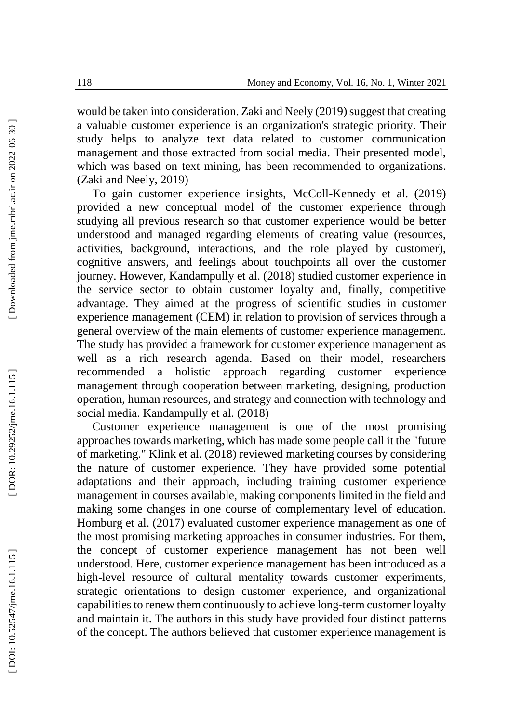would be taken into consideration. Zaki and Neely (2019) suggest that creating a valuable customer experience is an organization's strategic priority. Their study helps to analyze text data related to customer communication management and those extracted from social media. Their presented model, which was based on text mining, has been recommended to organizations. (Zaki and Neely, 2019)

To gain customer experience insights, McColl -Kennedy et al. (2019) provided a new conceptual model of the customer experience through studying all previous research so that customer experience would be better understood and managed regarding elements of creating value (resources, activities, background, interactions, and the role played by customer), cognitive answers, and feelings about touchpoints all over the customer journey. However, Kandampully et al. (2018) studied customer experience in the service sector to obtain customer loyalty and, finally, competitive advantage. They aimed at the progress of scientific studies in customer experience management (CEM) in relation to provision of services through a general overview of the main elements of customer experience management. The study has provided a framework for customer experience management as well as a rich research agenda. Based on their model, researchers recommended a holistic approach regarding customer experience management through cooperation between marketing, designing, production operation, human resources, and strategy and connection with technology and social media. Kandampully et al. (2018)

Customer experience management is one of the most promising approaches towards marketing, which has made some people call it the "future of marketing." Klink et al. (2018) reviewed marketing courses by considering the nature of customer experience. They have provided some potential adaptations and their approach, including training customer experience management in courses available, making components limited in the field and making some changes in one course of complementary level of education. Homburg et al. (2017) evaluated customer experience management as one of the most promising marketing approaches in consumer industries. For them, the concept of customer experience management has not been well understood. Here, customer experience management has been introduced as a high -level resource of cultural mentality towards customer experiments, strategic orientations to design customer experience, and organizational capabilities to renew them continuously to achieve long -term customer loyalty and maintain it. The authors in this study have provided four distinct patterns of the concept. The authors believed that customer experience management is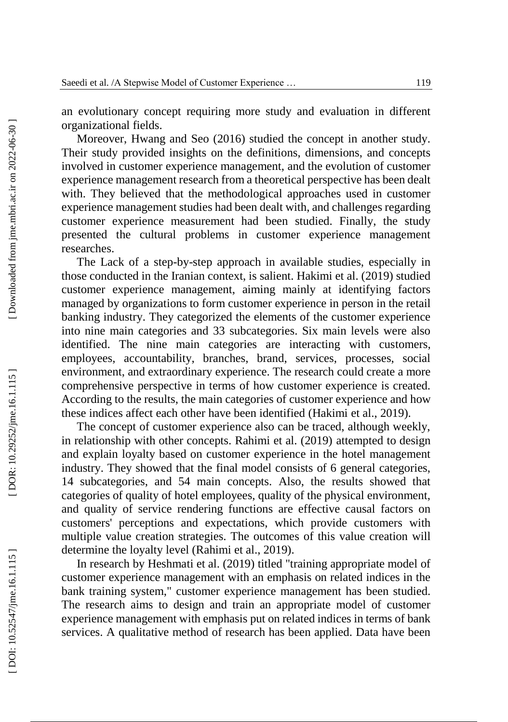an evolutionary concept requiring more study and evaluation in different organizational fields.

Moreover, Hwang and Seo (2016) studied the concept in another study. Their study provided insights on the definitions, dimensions, and concepts involved in customer experience management, and the evolution of customer experience management research from a theoretical perspective has been dealt with. They believed that the methodological approaches used in customer experience management studies had been dealt with, and challenges regarding customer experience measurement had been studied. Finally, the study presented the cultural problems in customer experience management researches.

The Lack of a step -by -step approach in available studies, especially in those conducted in the Iranian context, is salient. Hakimi et al. (2019) studied customer experience management, aiming mainly at identifying factors managed by organizations to form customer experience in person in the retail banking industry. They categorized the elements of the customer experience into nine main categories and 33 subcategories. Six main levels were also identified. The nine main categories are interacting with customers, employees, accountability, branches, brand, services, processes, social environment, and extraordinary experience. The research could create a more comprehensive perspective in terms of how customer experience is created. According to the results, the main categories of customer experience and how these indices affect each other have been identified (Hakimi et al., 2019).

The concept of customer experience also can be traced, although weekly, in relationship with other concepts. Rahimi et al. (2019) attempted to design and explain loyalty based on customer experience in the hotel management industry. They showed that the final model consists of 6 general categories, 14 subcategories, and 54 main concepts. Also, the results showed that categories of quality of hotel employees, quality of the physical environment, and quality of service rendering functions are effective causal factors on customers' perceptions and expectations, which provide customers with multiple value creation strategies. The outcomes of this value creation will determine the loyalty level (Rahimi et al., 2019).

In research by Heshmati et al. (2019) titled "training appropriate model of customer experience management with an emphasis on related indices in the bank training system," customer experience management has been studied. The research aims to design and train an appropriate model of customer experience management with emphasis put on related indices in terms of bank services. A qualitative method of research has been applied. Data have been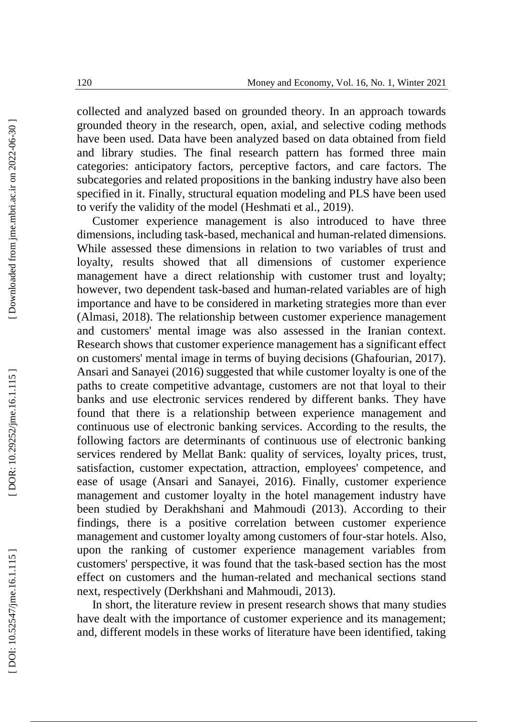collected and analyzed based on grounded theory. In an approach towards grounded theory in the research, open, axial, and selective coding methods have been used. Data have been analyzed based on data obtained from field and library studies. The final research pattern has formed three main categories: anticipatory factors, perceptive factors, and care factors. The subcategories and related propositions in the banking industry have also been specified in it. Finally, structural equation modeling and PLS have been used to verify the validity of the model (Heshmati et al., 2019).

Customer experience management is also introduced to have three dimensions, including task -based, mechanical and human -related dimensions. While assessed these dimensions in relation to two variables of trust and loyalty, results showed that all dimensions of customer experience management have a direct relationship with customer trust and loyalty; however, two dependent task -based and human -related variables are of high importance and have to be considered in marketing strategies more than ever (Almasi, 2018). The relationship between customer experience management and customers' mental image was also assessed in the Iranian context. Research shows that customer experience management has a significant effect on customers' mental image in terms of buying decisions (Ghafourian, 2017). Ansari and Sanayei (2016) suggested that while customer loyalty is one of the paths to create competitive advantage, customers are not that loyal to their banks and use electronic services rendered by different banks. They have found that there is a relationship between experience management and continuous use of electronic banking services. According to the results, the following factors are determinants of continuous use of electronic banking services rendered by Mellat Bank: quality of services, loyalty prices, trust, satisfaction, customer expectation, attraction, employees' competence, and ease of usage (Ansari and Sanayei, 2016). Finally, customer experience management and customer loyalty in the hotel management industry have been studied by Derakhshani and Mahmoudi (2013). According to their findings, there is a positive correlation between customer experience management and customer loyalty among customers of four -star hotels. Also, upon the ranking of customer experience management variables from customers' perspective, it was found that the task -based section has the most effect on customers and the human -related and mechanical sections stand next, respectively (Derkhshani and Mahmoudi, 2013).

In short, the literature review in present research shows that many studies have dealt with the importance of customer experience and its management; and, different models in these works of literature have been identified, taking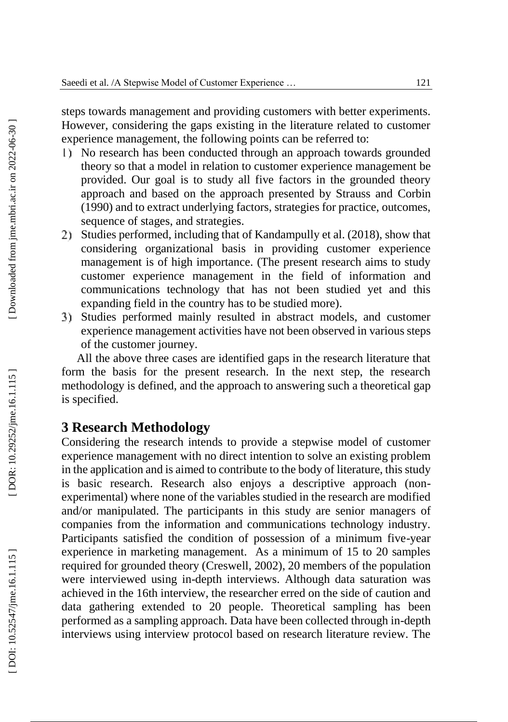steps towards management and providing customers with better experiments. However, considering the gaps existing in the literature related to customer experience management, the following points can be referred to:

- No research has been conducted through an approach towards grounded theory so that a model in relation to customer experience management be provided. Our goal is to study all five factors in the grounded theory approach and based on the approach presented by Strauss and Corbin (1990) and to extract underlying factors, strategies for practice, outcomes, sequence of stages, and strategies.
- Studies performed, including that of Kandampully et al. (2018), show that considering organizational basis in providing customer experience management is of high importance. (The present research aims to study customer experience management in the field of information and communications technology that has not been studied yet and this expanding field in the country has to be studied more).
- Studies performed mainly resulted in abstract models, and customer experience management activities have not been observed in various steps of the customer journey.

All the above three cases are identified gaps in the research literature that form the basis for the present research. In the next step, the research methodology is defined, and the approach to answering such a theoretical gap is specified.

### **3 Research Methodology**

Considering the research intends to provide a stepwise model of customer experience management with no direct intention to solve an existing problem in the application and is aimed to contribute to the body of literature, this study is basic research. Research also enjoys a descriptive approach (non experimental) where none of the variables studied in the research are modified and/or manipulated. The participants in this study are senior managers of companies from the information and communications technology industry. Participants satisfied the condition of possession of a minimum five-year experience in marketing management. As a minimum of 15 to 20 samples required for grounded theory (Creswell, 2002), 20 members of the population were interviewed using in -depth interviews. Although data saturation was achieved in the 16th interview, the researcher erred on the side of caution and data gathering extended to 20 people. Theoretical sampling has been performed as a sampling approach. Data have been collected through in -depth interviews using interview protocol based on research literature review. The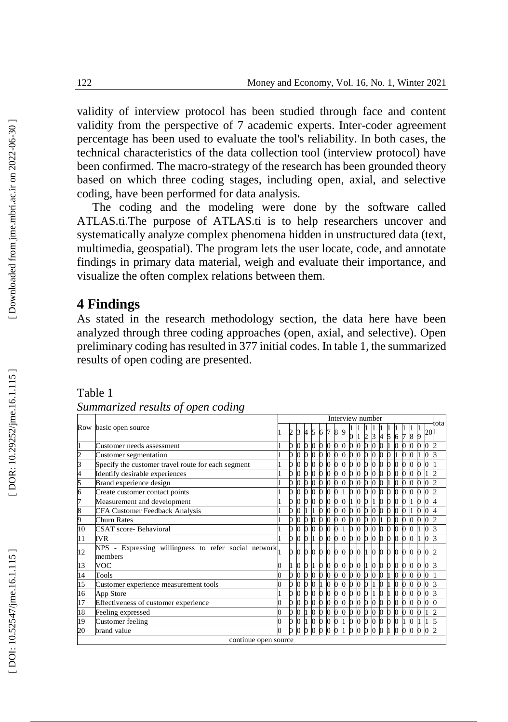validity of interview protocol has been studied through face and content validity from the perspective of 7 academic experts. Inter -coder agreement percentage has been used to evaluate the tool's reliability. In both cases, the technical characteristics of the data collection tool (interview protocol) have been confirmed. The macro -strategy of the research has been grounded theory based on which three coding stages, including open, axial, and selective coding, have been performed for data analysis.

The coding and the modeling were done by the software called ATLAS.ti .The purpose of ATLAS.ti is to help researchers uncover and systematically analyze complex phenomena hidden in unstructured data (text, multimedia, geospatial). The program lets the user locate, code, and annotate findings in primary data material, weigh and evaluate their importance, and visualize the often complex relations between them .

## **4 Findings**

As stated in the research methodology section, the data here have been analyzed through three coding approaches (open, axial, and selective). Open preliminary coding has resulted in 377 initial codes. In table 1, the summarized results of open coding are presented.

Table 1

| Summarized results of open coding |  |  |
|-----------------------------------|--|--|

|                 |                                                                 |  |  |                |           |              |              |              |          | Interview number |              |                |           |              |          |   |   |   |    |               |
|-----------------|-----------------------------------------------------------------|--|--|----------------|-----------|--------------|--------------|--------------|----------|------------------|--------------|----------------|-----------|--------------|----------|---|---|---|----|---------------|
|                 | Row basic open source                                           |  |  |                |           | 5            | 6            |              |          |                  |              | 2              | 3 4 5 6 7 |              |          |   | 8 | 9 | 20 | tota          |
|                 | Customer needs assessment                                       |  |  | $\bf{0}$       |           |              |              |              |          |                  |              |                |           |              |          |   |   |   |    | $\mathcal{D}$ |
|                 | Customer segmentation                                           |  |  | $\bf{0}$       | $\bf{0}$  |              | <sup>0</sup> |              |          |                  |              |                |           |              |          |   |   |   |    |               |
|                 | Specify the customer travel route for each segment              |  |  |                |           |              |              |              |          |                  |              |                |           |              |          |   |   |   |    |               |
|                 | Identify desirable experiences                                  |  |  |                | 0000      |              |              | $\bf{0}$     | $\Omega$ | $\Omega$         |              |                |           |              |          |   |   |   |    |               |
|                 | Brand experience design                                         |  |  | $\mathbf{0}$   | $\bf{0}$  | $\mathbf{0}$ | <sup>0</sup> | 0            |          |                  |              |                |           |              |          |   |   |   |    |               |
|                 | Create customer contact points                                  |  |  | $\mathbf{0}$   | $\bf{0}$  | b.           | $\mathbf{D}$ | $\bf{0}$     |          |                  |              |                |           |              |          |   |   |   |    |               |
|                 | Measurement and development                                     |  |  |                |           |              |              |              |          |                  |              |                |           |              |          |   |   |   |    |               |
|                 | <b>CFA Customer Feedback Analysis</b>                           |  |  |                |           |              |              | 0            |          |                  |              |                |           |              |          |   |   |   |    |               |
|                 | <b>Churn Rates</b>                                              |  |  |                | $\bf{0}$  | $\mathbf{0}$ | $\bf{0}$     | 0            |          |                  |              |                |           |              |          |   |   |   |    | Þ             |
| 10              | CSAT score-Behavioral                                           |  |  |                | $0\,0\,0$ |              | $\mathbf{0}$ | $\bf{0}$     | $\bf{0}$ | <sup>0</sup>     |              |                |           |              |          |   |   |   |    | k             |
| 11              | <b>IVR</b>                                                      |  |  |                |           |              |              |              |          |                  |              |                |           |              |          |   |   |   |    |               |
| $\overline{12}$ | NPS - Expressing willingness to refer social network<br>members |  |  |                |           |              |              |              |          |                  |              |                |           |              |          |   |   |   |    |               |
| 13              | VOC                                                             |  |  | O.             | $\bf{0}$  |              | $\bf{0}$     | $\mathbf{0}$ | $\Omega$ | $\mathbf{0}$     |              |                |           |              | $\bf{0}$ | n |   | n |    |               |
| 14              | Tools                                                           |  |  | n.             | n.        | n.           | n            | O.           |          |                  |              |                |           |              | 0        |   |   |   |    |               |
| 15              | Customer experience measurement tools                           |  |  |                |           |              |              |              |          |                  |              |                |           |              |          |   |   |   |    |               |
| 16              | App Store                                                       |  |  | n              |           |              |              |              |          |                  |              |                |           |              |          |   |   |   |    |               |
| 17              | Effectiveness of customer experience                            |  |  | <sup>n</sup>   | $\Omega$  | b.           | O.           |              |          |                  |              |                |           |              |          |   |   |   |    |               |
| 18              | Feeling expressed                                               |  |  | n.             | n         | b.           | n            | 0            | n        |                  |              |                |           |              | $\Omega$ |   |   |   |    |               |
| 19              | Customer feeling                                                |  |  | 0 <sub>1</sub> |           |              |              | 0000         |          | $\mathbf{0}$     | $\mathbf{D}$ | 0 <sub>0</sub> | $\Omega$  | $\mathbf{D}$ | $\bf{0}$ |   |   |   |    | 5             |
| 20              | brand value                                                     |  |  |                |           |              |              |              |          |                  |              |                |           |              |          |   |   |   |    | h             |
|                 | continue open source                                            |  |  |                |           |              |              |              |          |                  |              |                |           |              |          |   |   |   |    |               |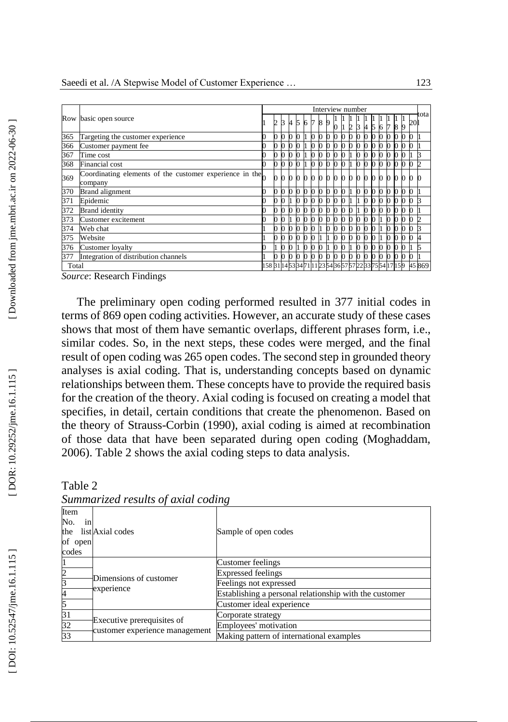|       |                                                                    |                                                          |   |              |    |   |   |        |   | Interview number |  |          |              |  |  |  |    |      |
|-------|--------------------------------------------------------------------|----------------------------------------------------------|---|--------------|----|---|---|--------|---|------------------|--|----------|--------------|--|--|--|----|------|
|       | Row basic open source                                              |                                                          | 2 |              | A. | 5 | 6 | I7     | 8 |                  |  |          |              |  |  |  | 20 | tota |
| 365   | Targeting the customer experience                                  |                                                          |   |              |    |   |   |        |   |                  |  |          |              |  |  |  |    |      |
| 366   | Customer payment fee                                               |                                                          |   |              |    |   |   |        |   |                  |  |          |              |  |  |  |    |      |
| 367   | Time cost                                                          |                                                          |   |              |    |   |   |        |   |                  |  |          |              |  |  |  |    |      |
| 368   | Financial cost                                                     |                                                          |   | <sup>0</sup> |    |   |   |        |   |                  |  |          |              |  |  |  |    |      |
| 369   | Coordinating elements of the customer experience in the<br>company |                                                          |   |              |    |   |   |        |   | n                |  | $\Omega$ | $\mathbf{0}$ |  |  |  |    |      |
| 370   | <b>Brand</b> alignment                                             |                                                          |   | <sup>0</sup> |    |   | O | 0      |   |                  |  |          |              |  |  |  |    |      |
| 371   | Epidemic                                                           |                                                          |   |              |    |   |   |        |   |                  |  |          |              |  |  |  |    |      |
| 372   | <b>Brand</b> identity                                              |                                                          |   | <sup>0</sup> |    |   |   |        |   |                  |  |          |              |  |  |  |    |      |
| 373   | Customer excitement                                                |                                                          |   |              |    |   |   |        |   |                  |  |          |              |  |  |  |    |      |
| 374   | Web chat                                                           |                                                          |   | n            |    |   |   |        |   |                  |  |          |              |  |  |  |    |      |
| 375   | Website                                                            |                                                          |   |              |    |   |   |        |   |                  |  |          |              |  |  |  |    |      |
| 376   | Customer loyalty                                                   |                                                          |   |              |    |   |   |        |   |                  |  |          |              |  |  |  |    |      |
| 377   | Integration of distribution channels                               |                                                          |   |              |    |   |   |        |   |                  |  |          |              |  |  |  |    |      |
| Total |                                                                    | 158 31 14 53 34 71 11 23 54 36 57 57 22 33 75 54 17 15 9 |   |              |    |   |   | 45 869 |   |                  |  |          |              |  |  |  |    |      |

*Source*: Research Findings

The preliminary open coding performed resulted in 377 initial codes in terms of 869 open coding activities. However, an accurate study of these cases shows that most of them have semantic overlaps, different phrases form, i.e., similar codes. So, in the next steps, these codes were merged, and the final result of open coding was 265 open codes. The second step in grounded theory analyses is axial coding. That is, understanding concepts based on dynamic relationships between them. These concepts have to provide the required basis for the creation of the theory. Axial coding is focused on creating a model that specifies, in detail, certain conditions that create the phenomenon. Based on the theory of Strauss -Corbin (1990), axial coding is aimed at recombination of those data that have been separated during open coding (Moghaddam, 2006). Table 2 shows the axial coding steps to data analysis.

| Bulling is called by anno 1990                     |                                                              |                                                        |  |  |  |  |  |  |  |  |  |
|----------------------------------------------------|--------------------------------------------------------------|--------------------------------------------------------|--|--|--|--|--|--|--|--|--|
| Item<br>No.<br>in <sub>1</sub><br>of open<br>codes | the list Axial codes                                         | Sample of open codes                                   |  |  |  |  |  |  |  |  |  |
|                                                    | Dimensions of customer<br>experience                         | Customer feelings                                      |  |  |  |  |  |  |  |  |  |
|                                                    |                                                              | <b>Expressed feelings</b>                              |  |  |  |  |  |  |  |  |  |
|                                                    |                                                              | Feelings not expressed                                 |  |  |  |  |  |  |  |  |  |
|                                                    |                                                              | Establishing a personal relationship with the customer |  |  |  |  |  |  |  |  |  |
|                                                    |                                                              | Customer ideal experience                              |  |  |  |  |  |  |  |  |  |
|                                                    |                                                              | Corporate strategy                                     |  |  |  |  |  |  |  |  |  |
| 32                                                 | Executive prerequisites of<br>customer experience management | Employees' motivation                                  |  |  |  |  |  |  |  |  |  |
| 33                                                 |                                                              | Making pattern of international examples               |  |  |  |  |  |  |  |  |  |

| Table 2                            |  |  |
|------------------------------------|--|--|
| Summarized results of axial coding |  |  |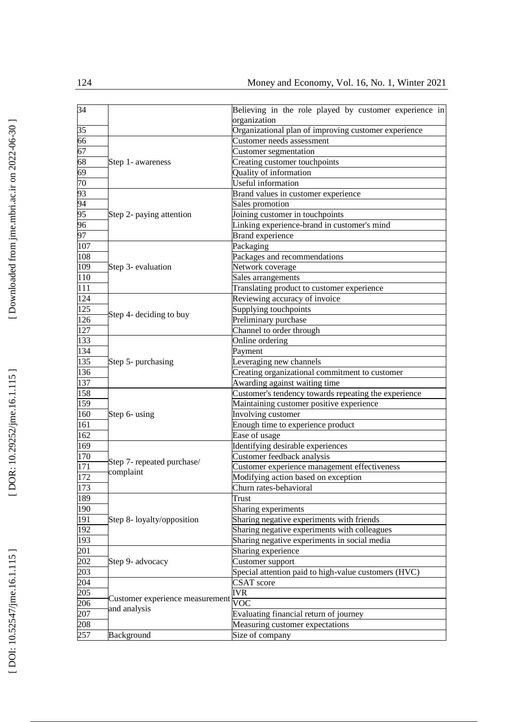| 34  |                                     | Believing in the role played by customer experience in |  |  |  |  |  |  |  |
|-----|-------------------------------------|--------------------------------------------------------|--|--|--|--|--|--|--|
|     |                                     | organization                                           |  |  |  |  |  |  |  |
| 35  |                                     | Organizational plan of improving customer experience   |  |  |  |  |  |  |  |
| 66  |                                     | Customer needs assessment                              |  |  |  |  |  |  |  |
| 67  |                                     | Customer segmentation                                  |  |  |  |  |  |  |  |
| 68  | Step 1- awareness                   | Creating customer touchpoints                          |  |  |  |  |  |  |  |
| 69  |                                     | Quality of information                                 |  |  |  |  |  |  |  |
| 70  |                                     | Useful information                                     |  |  |  |  |  |  |  |
| 93  |                                     | Brand values in customer experience                    |  |  |  |  |  |  |  |
| 94  |                                     | Sales promotion                                        |  |  |  |  |  |  |  |
| 95  | Step 2- paying attention            | Joining customer in touchpoints                        |  |  |  |  |  |  |  |
| 96  |                                     | Linking experience-brand in customer's mind            |  |  |  |  |  |  |  |
| 97  |                                     | <b>Brand experience</b>                                |  |  |  |  |  |  |  |
| 107 |                                     | Packaging                                              |  |  |  |  |  |  |  |
| 108 |                                     | Packages and recommendations                           |  |  |  |  |  |  |  |
| 109 | Step 3- evaluation                  | Network coverage                                       |  |  |  |  |  |  |  |
| 110 |                                     | Sales arrangements                                     |  |  |  |  |  |  |  |
| 111 |                                     | Translating product to customer experience             |  |  |  |  |  |  |  |
| 124 |                                     | Reviewing accuracy of invoice                          |  |  |  |  |  |  |  |
| 125 |                                     | Supplying touchpoints                                  |  |  |  |  |  |  |  |
| 126 | Step 4- deciding to buy             | Preliminary purchase                                   |  |  |  |  |  |  |  |
| 127 |                                     | Channel to order through                               |  |  |  |  |  |  |  |
| 133 |                                     | Online ordering                                        |  |  |  |  |  |  |  |
| 134 | Step 5- purchasing                  | Payment                                                |  |  |  |  |  |  |  |
| 135 |                                     | Leveraging new channels                                |  |  |  |  |  |  |  |
| 136 |                                     | Creating organizational commitment to customer         |  |  |  |  |  |  |  |
| 137 |                                     | Awarding against waiting time                          |  |  |  |  |  |  |  |
| 158 |                                     | Customer's tendency towards repeating the experience   |  |  |  |  |  |  |  |
| 159 |                                     | Maintaining customer positive experience               |  |  |  |  |  |  |  |
| 160 | Step 6- using                       | Involving customer                                     |  |  |  |  |  |  |  |
| 161 |                                     | Enough time to experience product                      |  |  |  |  |  |  |  |
| 162 |                                     | Ease of usage                                          |  |  |  |  |  |  |  |
| 169 |                                     | Identifying desirable experiences                      |  |  |  |  |  |  |  |
| 170 |                                     | Customer feedback analysis                             |  |  |  |  |  |  |  |
| 171 | Step 7- repeated purchase/          | Customer experience management effectiveness           |  |  |  |  |  |  |  |
| 172 | complaint                           | Modifying action based on exception                    |  |  |  |  |  |  |  |
| 173 |                                     | Churn rates-behavioral                                 |  |  |  |  |  |  |  |
| 189 |                                     | Trust                                                  |  |  |  |  |  |  |  |
| 190 |                                     | Sharing experiments                                    |  |  |  |  |  |  |  |
| 191 | Step 8- loyalty/opposition          | Sharing negative experiments with friends              |  |  |  |  |  |  |  |
| 192 |                                     | Sharing negative experiments with colleagues           |  |  |  |  |  |  |  |
| 193 |                                     | Sharing negative experiments in social media           |  |  |  |  |  |  |  |
| 201 |                                     | Sharing experience                                     |  |  |  |  |  |  |  |
| 202 | Step 9- advocacy                    | Customer support                                       |  |  |  |  |  |  |  |
| 203 |                                     | Special attention paid to high-value customers (HVC)   |  |  |  |  |  |  |  |
| 204 |                                     | CSAT score                                             |  |  |  |  |  |  |  |
| 205 |                                     | <b>IVR</b>                                             |  |  |  |  |  |  |  |
| 206 | Customer experience measurement VOC |                                                        |  |  |  |  |  |  |  |
| 207 | and analysis                        | Evaluating financial return of journey                 |  |  |  |  |  |  |  |
|     |                                     |                                                        |  |  |  |  |  |  |  |
| 208 |                                     | Measuring customer expectations                        |  |  |  |  |  |  |  |
| 257 | Background                          | Size of company                                        |  |  |  |  |  |  |  |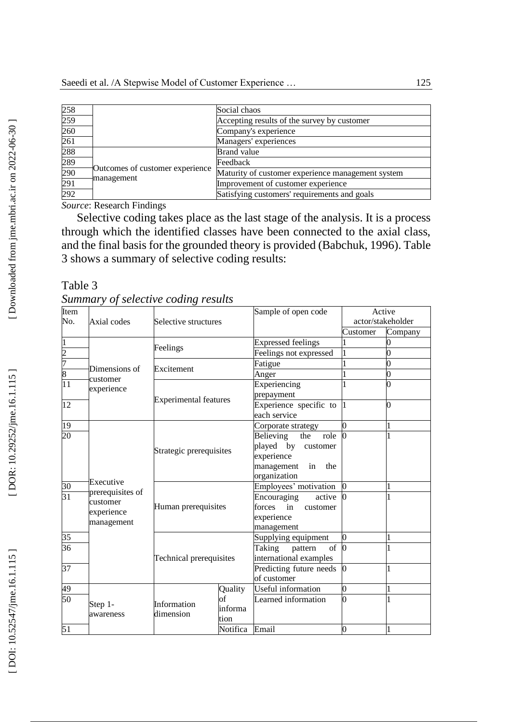| 258        |                                               | Social chaos                                      |
|------------|-----------------------------------------------|---------------------------------------------------|
| 259        |                                               | Accepting results of the survey by customer       |
| 260        |                                               | Company's experience                              |
| 261        |                                               | Managers' experiences                             |
| 288        |                                               | <b>Brand</b> value                                |
| 289<br>290 |                                               | Feedback                                          |
|            | Outcomes of customer experience<br>management | Maturity of customer experience management system |
| 291        |                                               | Improvement of customer experience                |
| 292        |                                               | Satisfying customers' requirements and goals      |

*Source*: Research Findings

Selective coding takes place as the last stage of the analysis. It is a process through which the identified classes have been connected to the axial class, and the final basis for the grounded theory is provided (Babchuk, 199 6). Table 3 shows a summary of selective coding results:

| Table 3                             |  |
|-------------------------------------|--|
| Summary of selective coding results |  |

| Item                         |                           |                              |                | Sample of open code                  | Active         |                   |
|------------------------------|---------------------------|------------------------------|----------------|--------------------------------------|----------------|-------------------|
| No.                          | Axial codes               | Selective structures         |                |                                      |                | actor/stakeholder |
|                              |                           |                              |                |                                      | Customer       | Company           |
| $\overline{1}$               |                           |                              |                | <b>Expressed feelings</b>            |                |                   |
|                              |                           | Feelings                     |                | Feelings not expressed               |                |                   |
|                              |                           |                              |                | Fatigue                              |                | 0                 |
| $\frac{2}{7}$ $\frac{8}{11}$ | Dimensions of<br>customer | Excitement                   |                | Anger                                |                | 0                 |
|                              | experience                |                              |                | Experiencing                         |                |                   |
|                              |                           | <b>Experimental features</b> |                | prepayment                           |                |                   |
| 12                           |                           |                              |                | Experience specific to               | $\mathbf{I}$   | $\mathbf 0$       |
|                              |                           |                              |                | each service                         |                |                   |
| 19                           |                           |                              |                | Corporate strategy                   | 0              | 1                 |
| 20                           |                           |                              |                | Believing<br>the<br>role             | <sup>0</sup>   |                   |
|                              |                           | Strategic prerequisites      |                | played by customer                   |                |                   |
|                              |                           |                              |                | experience                           |                |                   |
|                              |                           |                              |                | management<br>in<br>the              |                |                   |
|                              | Executive                 |                              |                | organization                         |                |                   |
| $\frac{30}{31}$              | prerequisites of          |                              |                | Employees' motivation                |                |                   |
|                              | customer                  |                              |                | Encouraging<br>active                |                |                   |
|                              | experience                | Human prerequisites          |                | forces<br>in<br>customer             |                |                   |
|                              |                           |                              |                | experience                           |                |                   |
|                              | management                |                              |                | management                           |                |                   |
| 35                           |                           |                              |                | Supplying equipment                  | 0              |                   |
| 36                           |                           |                              |                | of <sub>0</sub><br>Taking<br>pattern |                |                   |
|                              |                           | Technical prerequisites      |                | international examples               |                |                   |
| 37                           |                           |                              |                | Predicting future needs              | $\Omega$       | 1                 |
|                              |                           |                              |                | of customer                          |                |                   |
| 49                           |                           |                              | Quality        | Useful information                   | $\overline{0}$ |                   |
| 50                           |                           | Information                  | of             | Learned information                  |                |                   |
|                              | Step 1-                   |                              | informa        |                                      |                |                   |
|                              | awareness                 | dimension<br>tion            |                |                                      |                |                   |
| 51                           |                           |                              | Notifica Email |                                      | $\overline{0}$ |                   |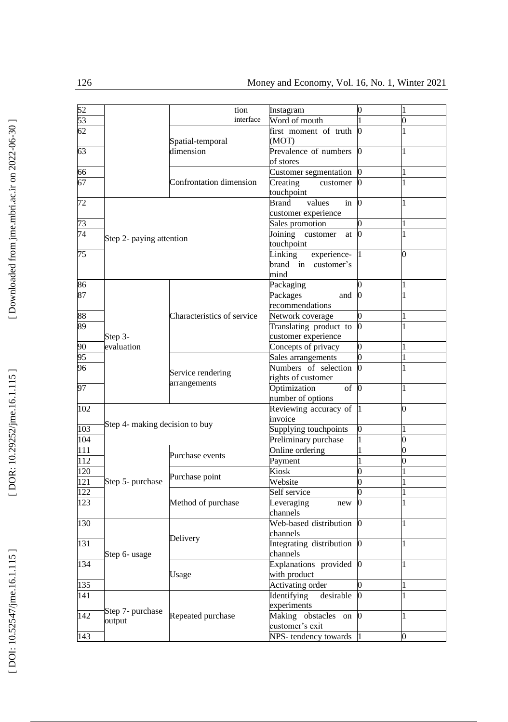| 52  |                                | tion                       | Instagram                                           | 0                |                |
|-----|--------------------------------|----------------------------|-----------------------------------------------------|------------------|----------------|
| 53  |                                | interface                  | Word of mouth                                       |                  | D              |
| 62  |                                | Spatial-temporal           | first moment of truth<br>(MOT)                      | 0                |                |
| 63  |                                | dimension                  | Prevalence of numbers<br>of stores                  | 0                |                |
| 66  |                                |                            | Customer segmentation                               |                  | 1              |
| 67  |                                |                            | Creating<br>customer                                |                  | 1              |
|     |                                | Confrontation dimension    | touchpoint                                          |                  |                |
| 72  |                                |                            | values<br><b>Brand</b><br>in<br>customer experience | 0                | 1              |
| 73  |                                |                            | Sales promotion                                     |                  | 1              |
| 74  |                                |                            | Joining<br>customer<br>at                           | $\bf{0}$         | $\mathbf{1}$   |
|     | Step 2- paying attention       |                            | touchpoint                                          |                  |                |
| 75  |                                |                            | Linking<br>experience-                              |                  | ገ              |
|     |                                |                            | brand in customer's                                 |                  |                |
|     |                                |                            | mind                                                |                  |                |
| 86  |                                |                            | Packaging                                           |                  |                |
| 87  |                                |                            | Packages<br>and                                     |                  |                |
|     |                                |                            | recommendations                                     |                  |                |
| 88  |                                | Characteristics of service | Network coverage                                    | 0                | 1              |
| 89  |                                |                            | Translating product to                              | $\overline{0}$   |                |
|     |                                |                            | customer experience                                 |                  |                |
| 90  | Step 3-<br>evaluation          |                            | Concepts of privacy                                 | 0                |                |
| 95  |                                |                            | Sales arrangements                                  |                  | 1              |
| 96  |                                |                            | Numbers of selection                                |                  |                |
|     |                                | Service rendering          | rights of customer                                  |                  | 1              |
| 97  |                                | arrangements               | Optimization<br>of                                  | $\mathbf{0}$     | $\mathbf{1}$   |
|     |                                |                            |                                                     |                  |                |
| 102 |                                |                            | number of options<br>Reviewing accuracy of          |                  | $\overline{1}$ |
|     |                                |                            | invoice                                             |                  |                |
| 103 | Step 4- making decision to buy |                            |                                                     |                  |                |
|     |                                |                            | Supplying touchpoints                               |                  |                |
| 104 |                                |                            | Preliminary purchase                                |                  | D              |
| 111 |                                | Purchase events            | Online ordering                                     |                  |                |
| 112 |                                |                            | Payment                                             |                  |                |
| 120 |                                | Purchase point             | Kiosk                                               | 0                | $\mathbf{1}$   |
| 121 | Step 5- purchase               |                            | Website                                             |                  |                |
| 122 |                                |                            | Self service                                        | 0                |                |
| 123 |                                | Method of purchase         | Leveraging<br>new                                   |                  |                |
|     |                                |                            | channels                                            |                  |                |
| 130 |                                |                            | Web-based distribution                              | 0                | 1              |
|     |                                | Delivery                   | channels                                            |                  |                |
| 131 |                                |                            | Integrating distribution                            | $\boldsymbol{0}$ | 1              |
|     | Step 6- usage                  |                            | channels                                            |                  |                |
| 134 |                                |                            | Explanations provided                               | $\bf{0}$         |                |
|     |                                | Usage                      | with product                                        |                  |                |
| 135 |                                |                            | Activating order                                    |                  |                |
| 141 |                                |                            | <b>Identifying</b><br>desirable                     | 0                | 1              |
|     | Step 7- purchase               |                            | experiments                                         |                  |                |
| 142 | output                         | Repeated purchase          | Making obstacles on                                 | $\bf{0}$         | 1              |
|     |                                |                            | customer's exit                                     |                  |                |
| 143 |                                |                            | NPS-tendency towards                                | h                | 0              |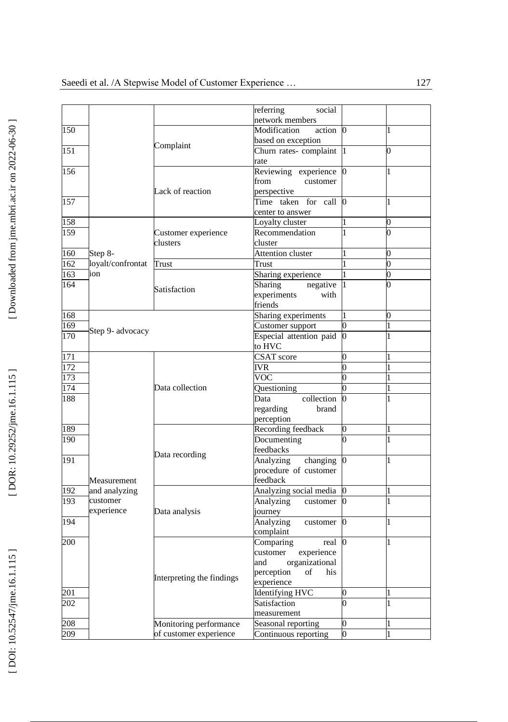|     |                   |                           | referring<br>social      |                |                |
|-----|-------------------|---------------------------|--------------------------|----------------|----------------|
|     |                   |                           | network members          |                |                |
| 150 |                   |                           | Modification<br>action   | $\Omega$       | 1              |
|     |                   | Complaint                 | based on exception       |                |                |
| 151 |                   |                           | Churn rates-complaint    |                | 0              |
|     |                   |                           | rate                     |                |                |
| 156 |                   |                           | Reviewing experience     | 0              | 1              |
|     |                   |                           | from<br>customer         |                |                |
|     |                   | Lack of reaction          | perspective              |                |                |
| 157 |                   |                           | Time taken for call      | $\bf{0}$       | 1              |
|     |                   |                           | center to answer         |                |                |
| 158 |                   |                           | Loyalty cluster          |                | 0              |
| 159 |                   | Customer experience       | Recommendation           | 1              | $\overline{0}$ |
|     |                   | clusters                  | cluster                  |                |                |
| 160 | Step 8-           |                           | <b>Attention cluster</b> |                | 0              |
| 162 | loyalt/confrontat | Trust                     | Trust                    |                | $\overline{0}$ |
| 163 | ion               |                           | Sharing experience       |                | $\overline{0}$ |
| 164 |                   | Satisfaction              | Sharing<br>negative      |                | 0              |
|     |                   |                           | experiments<br>with      |                |                |
|     |                   |                           | friends                  |                |                |
| 168 |                   |                           | Sharing experiments      | 1              | 0              |
| 169 | Step 9- advocacy  |                           | Customer support         | $\overline{0}$ | $\mathbf{1}$   |
| 170 |                   |                           | Especial attention paid  |                |                |
|     |                   |                           | to HVC                   |                |                |
| 171 |                   |                           | <b>CSAT</b> score        | 0              |                |
| 172 |                   |                           | <b>IVR</b>               | $\overline{0}$ |                |
| 173 |                   |                           | VOC                      |                |                |
| 174 |                   | Data collection           | Questioning              |                |                |
| 188 |                   |                           | collection<br>Data       |                |                |
|     |                   |                           | regarding<br>brand       |                |                |
|     |                   |                           | perception               |                |                |
| 189 |                   |                           | Recording feedback       | 0              |                |
| 190 |                   |                           | Documenting              |                | 1              |
|     |                   |                           | feedbacks                |                |                |
| 191 |                   | Data recording            | Analyzing<br>changing    | $\overline{0}$ |                |
|     |                   |                           | procedure of customer    |                |                |
|     | Measurement       |                           | feedback                 |                |                |
| 192 | and analyzing     |                           | Analyzing social media   |                |                |
| 193 | customer          |                           | Analyzing<br>customer    |                |                |
|     | experience        | Data analysis             | journey                  |                |                |
| 194 |                   |                           | Analyzing<br>customer    | 0              | 1              |
|     |                   |                           | complaint                |                |                |
| 200 |                   |                           | Comparing<br>real        | 0              |                |
|     |                   |                           | customer<br>experience   |                |                |
|     |                   |                           | organizational<br>and    |                |                |
|     |                   |                           | perception<br>his<br>of  |                |                |
|     |                   | Interpreting the findings | experience               |                |                |
| 201 |                   |                           | <b>Identifying HVC</b>   | 0              |                |
| 202 |                   |                           | Satisfaction             | 0              |                |
|     |                   |                           | measurement              |                |                |
| 208 |                   | Monitoring performance    | Seasonal reporting       | $\overline{0}$ |                |
| 209 |                   | of customer experience    | Continuous reporting     | 0              |                |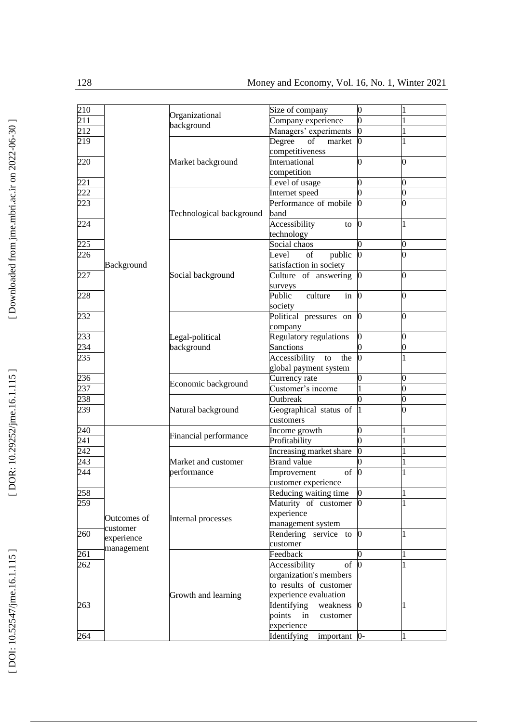| 210 |                                       | Organizational<br>background       | Size of company             | $\overline{0}$ |                |
|-----|---------------------------------------|------------------------------------|-----------------------------|----------------|----------------|
| 211 |                                       |                                    | Company experience          | $\overline{0}$ |                |
| 212 |                                       |                                    | Managers' experiments       | 0              |                |
| 219 |                                       |                                    | Degree<br>of<br>market      | 0              | 1              |
|     |                                       |                                    | competitiveness             |                |                |
| 220 |                                       | Market background                  | International               | $\overline{0}$ | 0              |
|     |                                       |                                    | competition                 |                |                |
| 221 |                                       |                                    | Level of usage              | $\overline{0}$ | 0              |
| 222 |                                       | Technological background           | Internet speed              | 0              | 0              |
| 223 |                                       |                                    | Performance of mobile       |                | 0              |
|     |                                       |                                    | band                        |                |                |
| 224 |                                       |                                    | Accessibility               | $\theta$       | 1              |
|     |                                       |                                    | to                          |                |                |
|     |                                       |                                    | technology                  |                |                |
| 225 |                                       | Social background                  | Social chaos                | 0              | 0              |
| 226 | Background                            |                                    | Level<br>public<br>of       | 0              | $\overline{0}$ |
|     |                                       |                                    | satisfaction in society     |                |                |
| 227 |                                       |                                    | Culture of answering        | 0              | 0              |
|     |                                       |                                    | surveys                     |                |                |
| 228 |                                       |                                    | culture<br>Public<br>in     | O.             | 0              |
|     |                                       |                                    | society                     |                |                |
| 232 |                                       | Legal-political<br>background      | Political pressures on      | 0              | 0              |
|     |                                       |                                    | company                     |                |                |
| 233 |                                       |                                    | Regulatory regulations      | $\overline{0}$ | 0              |
| 234 |                                       |                                    | <b>Sanctions</b>            | n              | 0              |
| 235 |                                       |                                    | Accessibility<br>to<br>the  | 0              | 1              |
|     |                                       |                                    | global payment system       |                |                |
| 236 |                                       | Economic background                | Currency rate               | 0              | 0              |
| 237 |                                       |                                    | Customer's income           |                | 0              |
| 238 |                                       |                                    | Outbreak                    | 0              | 0              |
| 239 |                                       | Natural background                 | Geographical status of      |                | 0              |
|     |                                       |                                    | customers                   |                |                |
| 240 |                                       | Financial performance              |                             | 0              |                |
|     |                                       |                                    | Income growth               | $\overline{0}$ |                |
| 241 |                                       |                                    | Profitability               |                | 1              |
| 242 |                                       | Market and customer<br>performance | Increasing market share     | 0              |                |
| 243 |                                       |                                    | <b>Brand</b> value          |                |                |
| 244 |                                       |                                    | Improvement<br>of           | 0              |                |
|     |                                       |                                    | customer experience         |                |                |
| 258 |                                       | Internal processes                 | Reducing waiting time       |                |                |
| 259 |                                       |                                    | Maturity of customer        | 0              |                |
|     | Outcomes of<br>customer<br>experience |                                    | experience                  |                |                |
|     |                                       |                                    | management system           |                |                |
| 260 |                                       |                                    | Rendering service to        | O.             | 1              |
|     |                                       |                                    | customer                    |                |                |
| 261 | management                            | Growth and learning                | Feedback                    |                |                |
| 262 |                                       |                                    | Accessibility<br>of         | $\overline{0}$ |                |
|     |                                       |                                    | organization's members      |                |                |
|     |                                       |                                    | to results of customer      |                |                |
|     |                                       |                                    | experience evaluation       |                |                |
| 263 |                                       |                                    | Identifying<br>weakness     | 0              | $\mathbf{1}$   |
|     |                                       |                                    | points<br>in<br>customer    |                |                |
|     |                                       |                                    | experience                  |                |                |
| 264 |                                       |                                    | Identifying<br>important 0- |                | 1              |
|     |                                       |                                    |                             |                |                |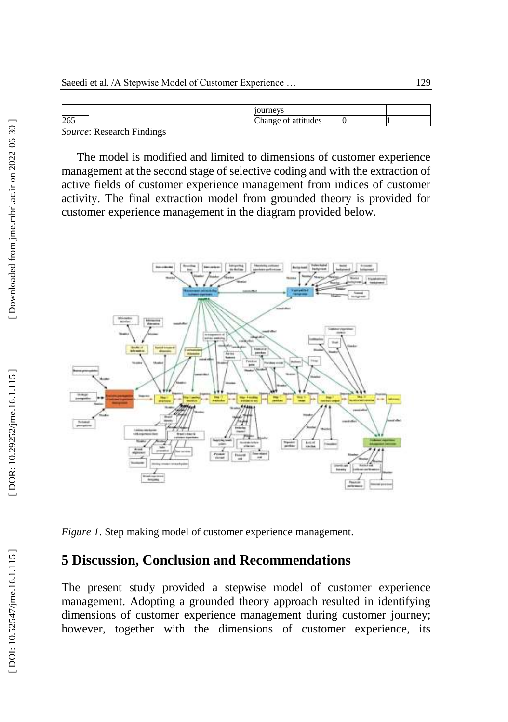| C<br>ZU. |                      |  |  |
|----------|----------------------|--|--|
|          | $\cdot$ $\cdot$<br>÷ |  |  |

*Source*: Research Findings

The model is modified and limited to dimensions of customer experience management at the second stage of selective coding and with the extraction of active fields of customer experience management from indices of customer activity. The final extraction model from grounded theory is provided for customer experience management in the diagram provided below.



*Figure 1*. Step making model of customer experience management .

### **5 Discussion, Conclusion and Recommendations**

The present study provided a stepwise model of customer experience management. Adopting a grounded theory approach resulted in identifying dimensions of customer experience management during customer journey; however, together with the dimensions of customer experience, its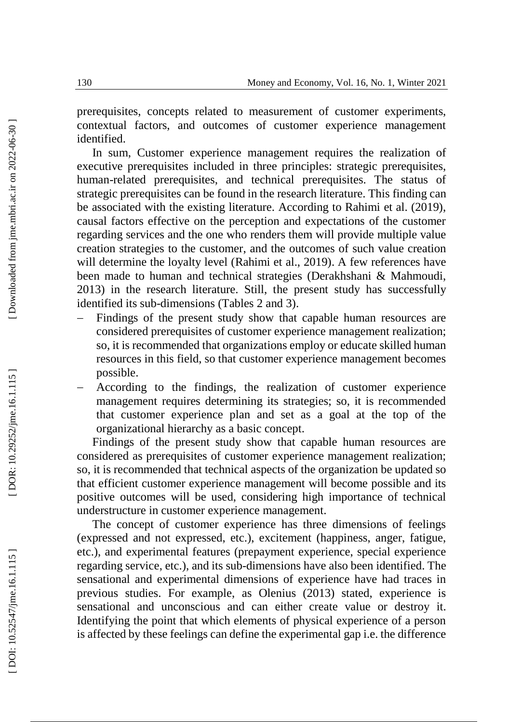prerequisites, concepts related to measurement of customer experiments, contextual factors, and outcomes of customer experience management identified.

In sum, Customer experience management requires the realization of executive prerequisites included in three principles: strategic prerequisites, human -related prerequisites, and technical prerequisites. The status of strategic prerequisites can be found in the research literature. This finding can be associated with the existing literature. According to Rahimi et al. (2019), causal factors effective on the perception and expectations of the customer regarding services and the one who renders them will provide multiple value creation strategies to the customer, and the outcomes of such value creation will determine the loyalty level (Rahimi et al., 2019). A few references have been made to human and technical strategies (Derakhshani & Mahmoudi, 2013) in the research literature. Still, the present study has successfully identified its sub -dimensions (Tables 2 and 3).

- Findings of the present study show that capable human resources are considered prerequisites of customer experience management realization; so, it is recommended that organizations employ or educate skilled human resources in this field, so that customer experience management becomes possible.
- According to the findings, the realization of customer experience management requires determining its strategies; so, it is recommended that customer experience plan and set as a goal at the top of the organizational hierarchy as a basic concept.

Findings of the present study show that capable human resources are considered as prerequisites of customer experience management realization; so, it is recommended that technical aspects of the organization be updated so that efficient customer experience management will become possible and its positive outcomes will be used, considering high importance of technical understructure in customer experience management.

The concept of customer experience has three dimensions of feelings (expressed and not expressed, etc.), excitement (happiness, anger, fatigue, etc.), and experimental features (prepayment experience, special experience regarding service, etc.), and its sub -dimensions have also been identified. The sensational and experimental dimensions of experience have had traces in previous studies. For example, as Olenius (2013) stated, experience is sensational and unconscious and can either create value or destroy it. Identifying the point that which elements of physical experience of a person is affected by these feelings can define the experimental gap i.e. the difference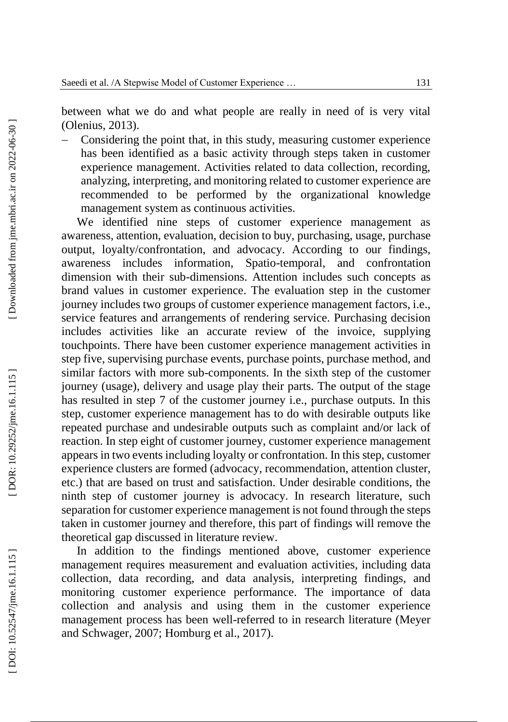between what we do and what people are really in need of is very vital (Olenius, 2013).

 Considering the point that, in this study, measuring customer experience has been identified as a basic activity through steps taken in customer experience management. Activities related to data collection, recording, analyzing, interpreting, and monitoring related to customer experience are recommended to be performed by the organizational knowledge management system as continuous activities.

We identified nine steps of customer experience management as awareness, attention, evaluation, decision to buy, purchasing, usage, purchase output, loyalty/confrontation, and advocacy. According to our findings, awareness includes information, Spatio-temporal, and confrontation dimension with their sub -dimensions. Attention includes such concepts as brand values in customer experience. The evaluation step in the customer journey includes two groups of customer experience management factors, i.e., service features and arrangements of rendering service. Purchasing decision includes activities like an accurate review of the invoice, supplying touchpoints. There have been customer experience management activities in step five, supervising purchase events, purchase points, purchase method, and similar factors with more sub -components. In the sixth step of the customer journey (usage), delivery and usage play their parts. The output of the stage has resulted in step 7 of the customer journey i.e., purchase outputs. In this step, customer experience management has to do with desirable outputs like repeated purchase and undesirable outputs such as complaint and/or lack of reaction. In step eight of customer journey, customer experience management appears in two events including loyalty or confrontation. In this step, customer experience clusters are formed (advocacy, recommendation, attention cluster, etc.) that are based on trust and satisfaction. Under desirable conditions, the ninth step of customer journey is advocacy. In research literature, such separation for customer experience management is not found through the steps taken in customer journey and therefore, this part of findings will remove the theoretical gap discussed in literature review.

In addition to the findings mentioned above, customer experience management requires measurement and evaluation activities, including data collection, data recording, and data analysis, interpreting findings, and monitoring customer experience performance. The importance of data collection and analysis and using them in the customer experience management process has been well -referred to in research literature (Meyer and Schwager, 2007; H omburg et al., 2017).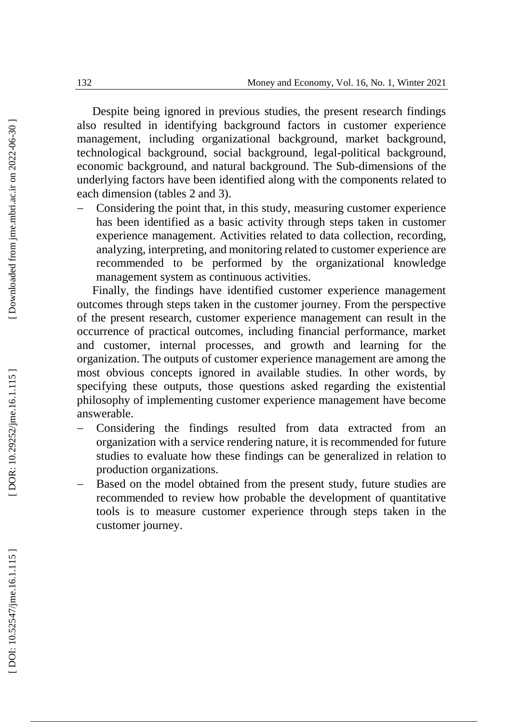Despite being ignored in previous studies, the present research findings also resulted in identifying background factors in customer experience management, including organizational background, market background, technological background, social background, legal -political background, economic background, and natural background. The Sub -dimensions of the underlying factors have been identified along with the components related to each dimension (tables 2 and 3).

 Considering the point that, in this study, measuring customer experience has been identified as a basic activity through steps taken in customer experience management. Activities related to data collection, recording, analyzing, interpreting, and monitoring related to customer experience are recommended to be performed by the organizational knowledge management system as continuous activities.

Finally, the findings have identified customer experience management outcomes through steps taken in the customer journey. From the perspective of the present research, customer experience management can result in the occurrence of practical outcomes, including financial performance, market and customer, internal processes, and growth and learning for the organization. The outputs of customer experience management are among the most obvious concepts ignored in available studies. In other words, by specifying these outputs, those questions asked regarding the existential philosophy of implementing customer experience management have become answerable.

- Considering the findings resulted from data extracted from an organization with a service rendering nature, it is recommended for future studies to evaluate how these findings can be generalized in relation to production organizations.
- Based on the model obtained from the present study, future studies are recommended to review how probable the development of quantitative tools is to measure customer experience through steps taken in the customer journey.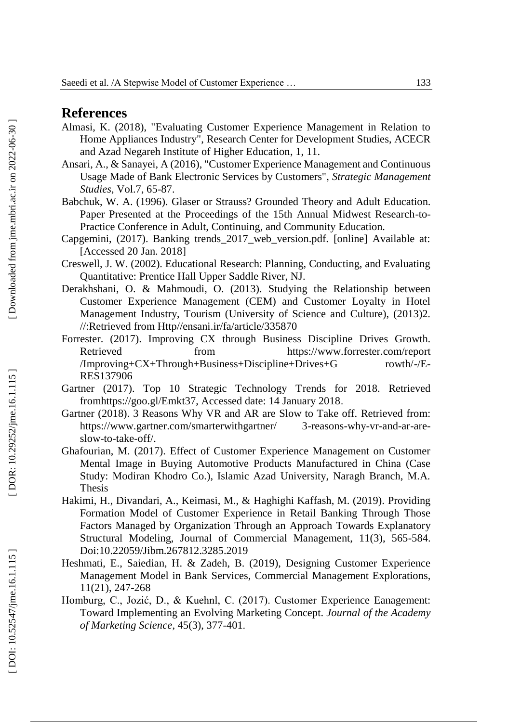#### **References**

- Almasi, K. (2018), "Evaluating Customer Experience Management in Relation to Home Appliances Industry", Research Center for Development Studies, ACECR and Azad Negareh Institute of Higher Education, 1, 11.
- Ansari, A., & Sanayei, A (2016), "Customer Experience Management and Continuous Usage Made of Bank Electronic Services by Customers", *Strategic Management Studies*, Vol.7, 65 -87.
- Babchuk, W. A. (1996). Glaser or Strauss? Grounded Theory and Adult Education. Paper Presented at the Proceedings of the 15th Annual Midwest Research-to-Practice Conference in Adult, Continuing, and Community Education.
- Capgemini, (2017 ). Banking trends\_2017\_web\_version.pdf. [online] Available at: [Accessed 20 Jan. 2018]
- Creswell, J. W. (2002). Educational Research: Planning, Conducting, and Evaluating Quantitative: Prentice Hall Upper Saddle River, NJ.
- Customer Experience Management (CEM) and Customer Loyalty in Hotel Management Industry, Tourism (University of Science and Culture), (2013)2. //:Retrieved from Http//ensani.ir/fa/article/335870
- Forrester. (2017). Improving CX through Business Discipline Drives Growth. Retrieved from https://www.forrester.com/report  $/Improwing+CX+Through+Business+Disciplina+Drives+G$ -/E - RES137906
- Gartner (2017). Top 10 Strategic Technology Trends for 2018. Retrieved fromhttps://goo.gl/Emkt37, Accessed date: 14 January 2018 .
- Gartner (2018). 3 Reasons Why VR and AR are Slow to Take off. Retrieved from: https://www.gartner.com/smarterwithgartner/ 3 -reasons-why-vr-and-ar-areslow -to -take -off/.
- Ghafourian, M. (2017). Effect of Customer Experience Management on Customer Mental Image in Buying Automotive Products Manufactured in China (Case Study: Modiran Khodro Co.), Islamic Azad University, Naragh Branch, M.A. Thesis
- Hakimi, H., Divandari, A., Keimasi, M., & Haghighi Kaffash, M. (2019). Providing Formation Model of Customer Experience in Retail Banking Through Those Factors Managed by Organization Through an Approach Towards Explanatory Structural Modeling, Journal of Commercial Management, 11(3), 565-584. Doi:10.22059/Jibm.267812.3285.2019
- Heshmati, E., Saiedian, H. & Zadeh, B. (2019), Designing Customer Experience Management Model in Bank Services, Commercial Management Explorations, 11(21), 247 -268
- Homburg, C., Jozić, D., & Kuehnl, C. (2017). Customer Experience Eanagement: Toward Implementing an Evolving Marketing Concept. *Journal of the Academy of Marketing Science*, 45(3), 377 -401 .